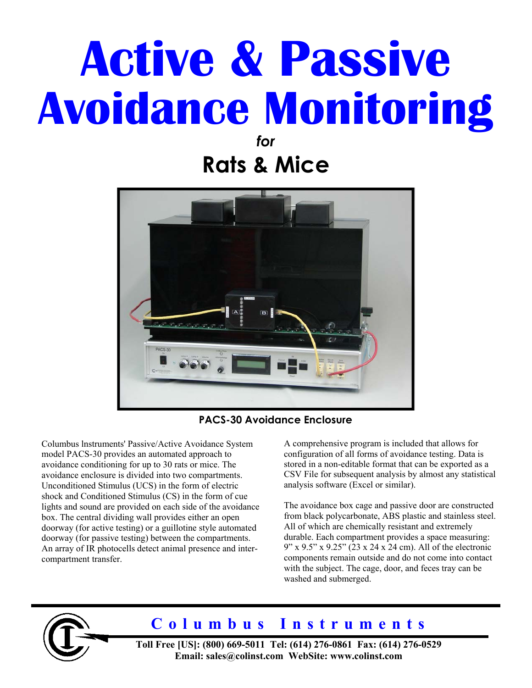# **Active & Passive Avoidance Monitoring**

*for*  **Rats & Mice** 



**PACS-30 Avoidance Enclosure**

Columbus lnstruments' Passive/Active Avoidance System model PACS-30 provides an automated approach to avoidance conditioning for up to 30 rats or mice. The avoidance enclosure is divided into two compartments. Unconditioned Stimulus (UCS) in the form of electric shock and Conditioned Stimulus (CS) in the form of cue lights and sound are provided on each side of the avoidance box. The central dividing wall provides either an open doorway (for active testing) or a guillotine style automated doorway (for passive testing) between the compartments. An array of IR photocells detect animal presence and intercompartment transfer.

A comprehensive program is included that allows for configuration of all forms of avoidance testing. Data is stored in a non-editable format that can be exported as a CSV File for subsequent analysis by almost any statistical analysis software (Excel or similar).

The avoidance box cage and passive door are constructed from black polycarbonate, ABS plastic and stainless steel. All of which are chemically resistant and extremely durable. Each compartment provides a space measuring: 9" x 9.5" x 9.25" (23 x 24 x 24 cm). All of the electronic components remain outside and do not come into contact with the subject. The cage, door, and feces tray can be washed and submerged.



# **Columbus Instruments**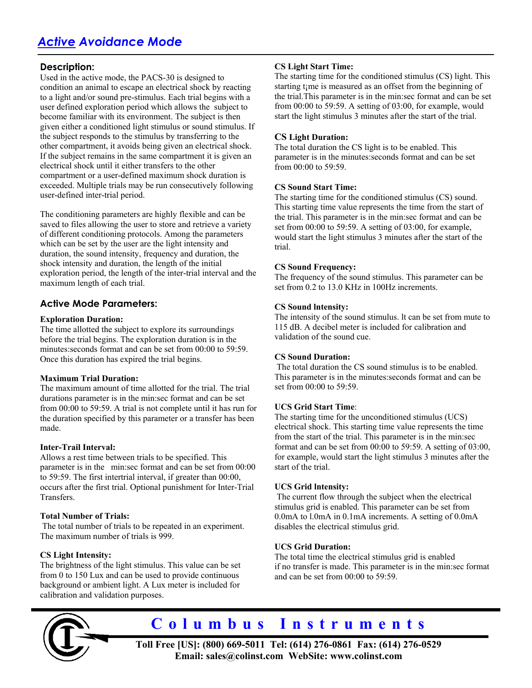# *Active Avoidance Mode*

# **Description:**

Used in the active mode, the PACS-30 is designed to condition an animal to escape an electrical shock by reacting to a light and/or sound pre-stimulus. Each trial begins with a user defined exploration period which allows the subject to become familiar with its environment. The subject is then given either a conditioned light stimulus or sound stimulus. If the subject responds to the stimulus by transferring to the other compartment, it avoids being given an electrical shock. If the subject remains in the same compartment it is given an electrical shock until it either transfers to the other compartment or a user-defined maximum shock duration is exceeded. Multiple trials may be run consecutively following user-defined inter-trial period.

The conditioning parameters are highly flexible and can be saved to files allowing the user to store and retrieve a variety of different conditioning protocols. Among the parameters which can be set by the user are the light intensity and duration, the sound intensity, frequency and duration, the shock intensity and duration, the length of the initial exploration period, the length of the inter-trial interval and the maximum length of each trial.

# **Active Mode Parameters:**

# **Exploration Duration:**

The time allotted the subject to explore its surroundings before the trial begins. The exploration duration is in the minutes:seconds format and can be set from 00:00 to 59:59. Once this duration has expired the trial begins.

# **Maximum Trial Duration:**

The maximum amount of time allotted for the trial. The trial durations parameter is in the min:sec format and can be set from 00:00 to 59:59. A trial is not complete until it has run for the duration specified by this parameter or a transfer has been made.

# **Inter-Trail Interval:**

Allows a rest time between trials to be specifìed. This parameter is in the min:sec format and can be set from 00:00 to 59:59. The first intertrial interval, if greater than 00:00, occurs after the fìrst trial. Optional punishment for Inter-Trial Transfers.

# **Total Number of Trials:**

 The total number of trials to be repeated in an experiment. The maximum number of trials is 999.

# **CS Light Intensity:**

The brightness of the light stimulus. This value can be set from 0 to 150 Lux and can be used to provide continuous background or ambient light. A Lux meter is included for calibration and validation purposes.

# **CS Light Start Time:**

The starting time for the conditioned stimulus (CS) light. This starting t<sub>i</sub>me is measured as an offset from the beginning of the trial.This parameter is in the min:sec format and can be set from 00:00 to 59:59. A setting of 03:00, for example, would start the light stimulus 3 minutes after the start of the trial.

# **CS Light Duration:**

The total duration the CS light is to be enabled. This parameter is in the minutes:seconds format and can be set from 00:00 to 59:59.

# **CS Sound Start Time:**

The starting time for the conditioned stimulus (CS) sound. This starting time value represents the time from the start of the trial. This parameter is in the min:sec format and can be set from 00:00 to 59:59. A setting of 03:00, for example, would start the light stimulus 3 minutes after the start of the trial.

# **CS Sound Frequency:**

The frequency of the sound stimulus. This parameter can be set from 0.2 to 13.0 KHz in 100Hz increments.

# **CS Sound lntensity:**

The intensity of the sound stimulus. lt can be set from mute to 115 dB. A decibel meter is included for calibration and validation of the sound cue.

# **CS Sound Duration:**

The total duration the CS sound stimulus is to be enabled. This parameter is in the minutes:seconds format and can be set from 00:00 to 59:59.

# **UCS Grid Start Time**:

The starting time for the unconditioned stimulus (UCS) electrical shock. This starting time value represents the time from the start of the trial. This parameter is in the min:sec format and can be set from 00:00 to 59:59. A setting of 03:00, for example, would start the light stimulus 3 minutes after the start of the trial.

# **UCS Grid lntensity:**

The current flow through the subject when the electrical stimulus grid is enabled. This parameter can be set from 0.0mA to l.0mA in 0.1mA increments. A setting of 0.0mA disables the electrical stimulus grid.

# **UCS Grid Duration:**

The total time the electrical stimulus grid is enabled if no transfer is made. This parameter is in the min:sec format and can be set from 00:00 to 59:59.



# **Columbus Instruments**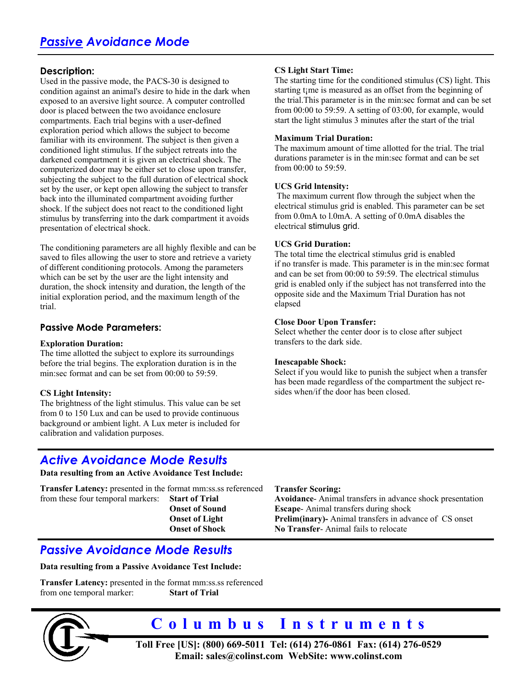# **Description:**

Used in the passive mode, the PACS-30 is designed to condition against an animal's desire to hide in the dark when exposed to an aversive light source. A computer controlled door is placed between the two avoidance enclosure compartments. Each trial begins with a user-defìned exploration period which allows the subject to become familiar with its environment. The subject is then given a conditioned light stimulus. If the subject retreats into the darkened compartment it is given an electrical shock. The computerized door may be either set to close upon transfer, subjecting the subject to the full duration of electrical shock set by the user, or kept open allowing the subject to transfer back into the illuminated compartment avoiding further shock. lf the subject does not react to the conditioned light stimulus by transferring into the dark compartment it avoids presentation of electrical shock.

The conditioning parameters are all highly flexible and can be saved to files allowing the user to store and retrieve a variety of different conditioning protocols. Among the parameters which can be set by the user are the light intensity and duration, the shock intensity and duration, the length of the initial exploration period, and the maximum length of the trial.

# **Passive Mode Parameters:**

#### **Exploration Duration:**

The time allotted the subject to explore its surroundings before the trial begins. The exploration duration is in the min:sec format and can be set from 00:00 to 59:59.

# **CS Light Intensity:**

The brightness of the light stimulus. This value can be set from 0 to 150 Lux and can be used to provide continuous background or ambient light. A Lux meter is included for calibration and validation purposes.

# **CS Light Start Time:**

The starting time for the conditioned stimulus (CS) light. This starting t<sub>i</sub>me is measured as an offset from the beginning of the trial.This parameter is in the min:sec format and can be set from 00:00 to 59:59. A setting of 03:00, for example, would start the light stimulus 3 minutes after the start of the trial

# **Maximum Trial Duration:**

The maximum amount of time allotted for the trial. The trial durations parameter is in the min:sec format and can be set from 00:00 to 59:59.

#### **UCS Grid lntensity:**

The maximum current flow through the subject when the electrical stimulus grid is enabled. This parameter can be set from 0.0mA to l.0mA. A setting of 0.0mA disables the electrical stimulus grid.

# **UCS Grid Duration:**

The total time the electrical stimulus grid is enabled if no transfer is made. This parameter is in the min:sec format and can be set from 00:00 to 59:59. The electrical stimulus grid is enabled only if the subject has not transferred into the opposite side and the Maximum Trial Duration has not elapsed

# **Close Door Upon Transfer:**

Select whether the center door is to close after subject transfers to the dark side.

#### **Inescapable Shock:**

Select if you would like to punish the subject when a transfer has been made regardless of the compartment the subject resides when/if the door has been closed.

# *Active Avoidance Mode Results*

**Data resulting from an Active Avoidance Test Include:** 

**Transfer Latency:** presented in the format mm:ss.ss referenced from these four temporal markers: **Start of Trial Onset of Sound Onset of Light Onset of Shock**

**Transfer Scoring:** 

**Avoidance**- Animal transfers in advance shock presentation **Escape**- Animal transfers during shock **Prelim(inary)-** Animal transfers in advance of CS onset **No Transfer**- Animal fails to relocate

# *Passive Avoidance Mode Results*

**Data resulting from a Passive Avoidance Test Include:** 

**Transfer Latency:** presented in the format mm:ss.ss referenced from one temporal marker: **Start of Trial** 



# **Columbus Instruments**